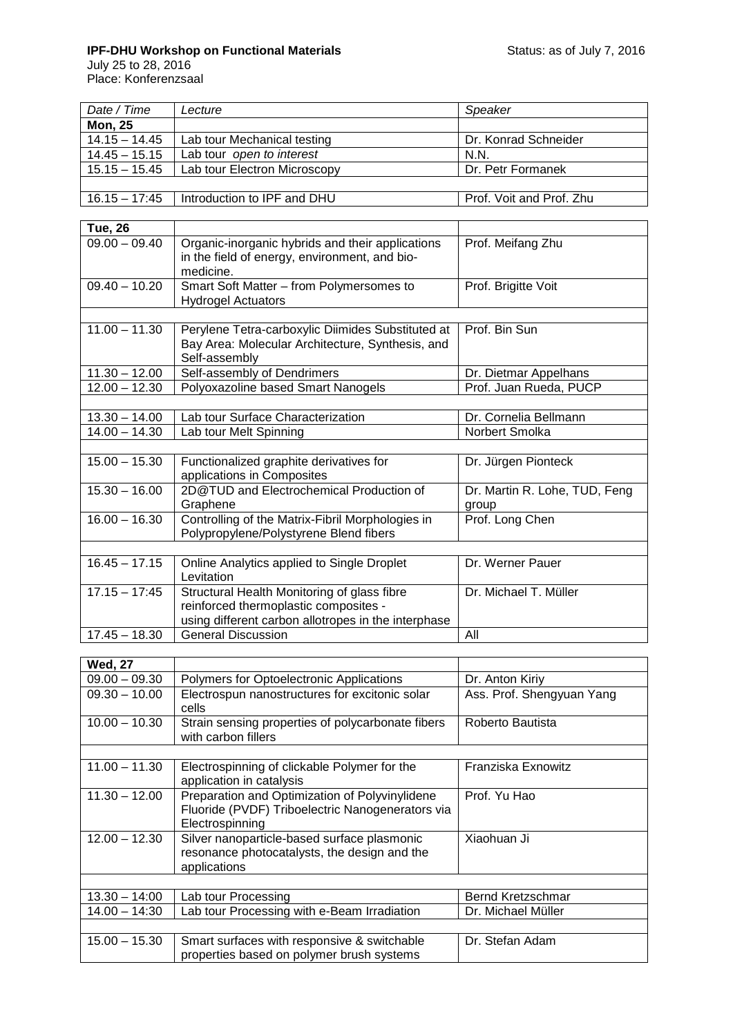## **IPF-DHU Workshop on Functional Materials Network Controllery Activities Status: as of July 7, 2016**

July 25 to 28, 2016 Place: Konferenzsaal

| Date / Time     | Lecture                      | Speaker                  |
|-----------------|------------------------------|--------------------------|
| <b>Mon, 25</b>  |                              |                          |
| $14.15 - 14.45$ | Lab tour Mechanical testing  | Dr. Konrad Schneider     |
| $14.45 - 15.15$ | Lab tour open to interest    | N.N.                     |
| $15.15 - 15.45$ | Lab tour Electron Microscopy | Dr. Petr Formanek        |
|                 |                              |                          |
| $16.15 - 17:45$ | Introduction to IPF and DHU  | Prof. Voit and Prof. Zhu |

| <b>Tue, 26</b>  |                                                                                                                                             |                                        |
|-----------------|---------------------------------------------------------------------------------------------------------------------------------------------|----------------------------------------|
| $09.00 - 09.40$ | Organic-inorganic hybrids and their applications<br>in the field of energy, environment, and bio-<br>medicine.                              | Prof. Meifang Zhu                      |
| $09.40 - 10.20$ | Smart Soft Matter - from Polymersomes to<br><b>Hydrogel Actuators</b>                                                                       | Prof. Brigitte Voit                    |
|                 |                                                                                                                                             |                                        |
| $11.00 - 11.30$ | Perylene Tetra-carboxylic Diimides Substituted at<br>Bay Area: Molecular Architecture, Synthesis, and<br>Self-assembly                      | Prof. Bin Sun                          |
| $11.30 - 12.00$ | Self-assembly of Dendrimers                                                                                                                 | Dr. Dietmar Appelhans                  |
| $12.00 - 12.30$ | Polyoxazoline based Smart Nanogels                                                                                                          | Prof. Juan Rueda, PUCP                 |
|                 |                                                                                                                                             |                                        |
| $13.30 - 14.00$ | Lab tour Surface Characterization                                                                                                           | Dr. Cornelia Bellmann                  |
| $14.00 - 14.30$ | Lab tour Melt Spinning                                                                                                                      | Norbert Smolka                         |
|                 |                                                                                                                                             |                                        |
| $15.00 - 15.30$ | Functionalized graphite derivatives for<br>applications in Composites                                                                       | Dr. Jürgen Pionteck                    |
| $15.30 - 16.00$ | 2D@TUD and Electrochemical Production of<br>Graphene                                                                                        | Dr. Martin R. Lohe, TUD, Feng<br>group |
| $16.00 - 16.30$ | Controlling of the Matrix-Fibril Morphologies in<br>Polypropylene/Polystyrene Blend fibers                                                  | Prof. Long Chen                        |
|                 |                                                                                                                                             |                                        |
| $16.45 - 17.15$ | Online Analytics applied to Single Droplet<br>Levitation                                                                                    | Dr. Werner Pauer                       |
| $17.15 - 17:45$ | Structural Health Monitoring of glass fibre<br>reinforced thermoplastic composites -<br>using different carbon allotropes in the interphase | Dr. Michael T. Müller                  |
| $17.45 - 18.30$ | <b>General Discussion</b>                                                                                                                   | All                                    |

| <b>Wed, 27</b>  |                                                                                                                       |                           |
|-----------------|-----------------------------------------------------------------------------------------------------------------------|---------------------------|
| $09.00 - 09.30$ | Polymers for Optoelectronic Applications                                                                              | Dr. Anton Kiriy           |
| $09.30 - 10.00$ | Electrospun nanostructures for excitonic solar<br>cells                                                               | Ass. Prof. Shengyuan Yang |
| $10.00 - 10.30$ | Strain sensing properties of polycarbonate fibers<br>with carbon fillers                                              | Roberto Bautista          |
|                 |                                                                                                                       |                           |
| $11.00 - 11.30$ | Electrospinning of clickable Polymer for the<br>application in catalysis                                              | Franziska Exnowitz        |
| $11.30 - 12.00$ | Preparation and Optimization of Polyvinylidene<br>Fluoride (PVDF) Triboelectric Nanogenerators via<br>Electrospinning | Prof. Yu Hao              |
| $12.00 - 12.30$ | Silver nanoparticle-based surface plasmonic<br>resonance photocatalysts, the design and the<br>applications           | Xiaohuan Ji               |
|                 |                                                                                                                       |                           |
| $13.30 - 14:00$ | Lab tour Processing                                                                                                   | Bernd Kretzschmar         |
| $14.00 - 14:30$ | Lab tour Processing with e-Beam Irradiation                                                                           | Dr. Michael Müller        |
|                 |                                                                                                                       |                           |
| $15.00 - 15.30$ | Smart surfaces with responsive & switchable<br>properties based on polymer brush systems                              | Dr. Stefan Adam           |